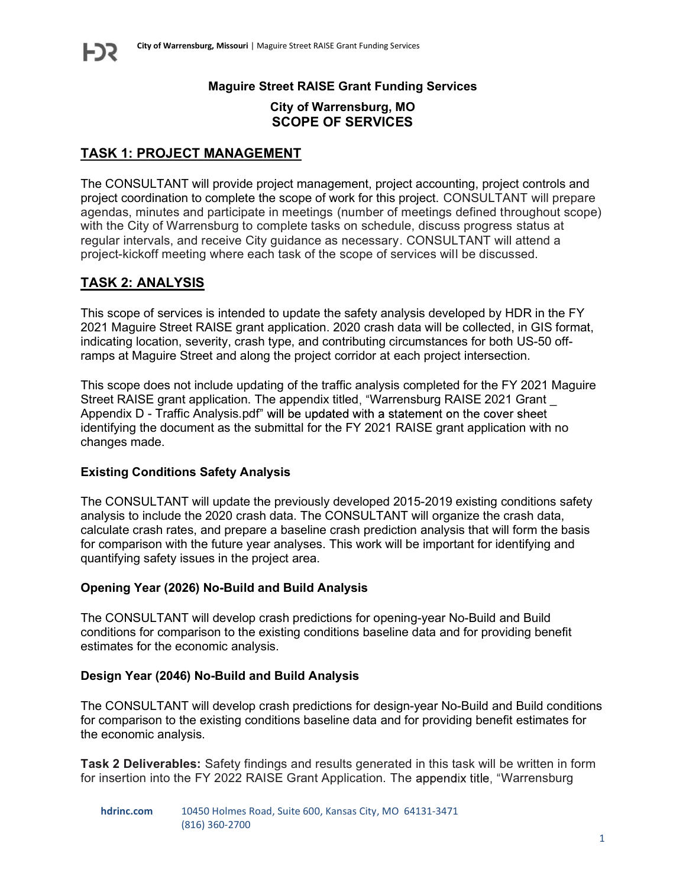# Maguire Street RAISE Grant Funding Services

# City of Warrensburg, MO SCOPE OF SERVICES

# TASK 1: PROJECT MANAGEMENT

The CONSULTANT will provide project management, project accounting, project controls and project coordination to complete the scope of work for this project. CONSULTANT will prepare agendas, minutes and participate in meetings (number of meetings defined throughout scope) with the City of Warrensburg to complete tasks on schedule, discuss progress status at regular intervals, and receive City guidance as necessary. CONSULTANT will attend a project-kickoff meeting where each task of the scope of services will be discussed.

# TASK 2: ANALYSIS

This scope of services is intended to update the safety analysis developed by HDR in the FY 2021 Maguire Street RAISE grant application. 2020 crash data will be collected, in GIS format, indicating location, severity, crash type, and contributing circumstances for both US-50 offramps at Maguire Street and along the project corridor at each project intersection.

This scope does not include updating of the traffic analysis completed for the FY 2021 Maguire Street RAISE grant application. The appendix titled, "Warrensburg RAISE 2021 Grant Appendix D - Traffic Analysis.pdf" will be updated with a statement on the cover sheet identifying the document as the submittal for the FY 2021 RAISE grant application with no changes made.

## Existing Conditions Safety Analysis

The CONSULTANT will update the previously developed 2015-2019 existing conditions safety analysis to include the 2020 crash data. The CONSULTANT will organize the crash data, calculate crash rates, and prepare a baseline crash prediction analysis that will form the basis for comparison with the future year analyses. This work will be important for identifying and quantifying safety issues in the project area.

## Opening Year (2026) No-Build and Build Analysis

The CONSULTANT will develop crash predictions for opening-year No-Build and Build conditions for comparison to the existing conditions baseline data and for providing benefit estimates for the economic analysis.

#### Design Year (2046) No-Build and Build Analysis

The CONSULTANT will develop crash predictions for design-year No-Build and Build conditions for comparison to the existing conditions baseline data and for providing benefit estimates for the economic analysis.

Task 2 Deliverables: Safety findings and results generated in this task will be written in form for insertion into the FY 2022 RAISE Grant Application. The appendix title, "Warrensburg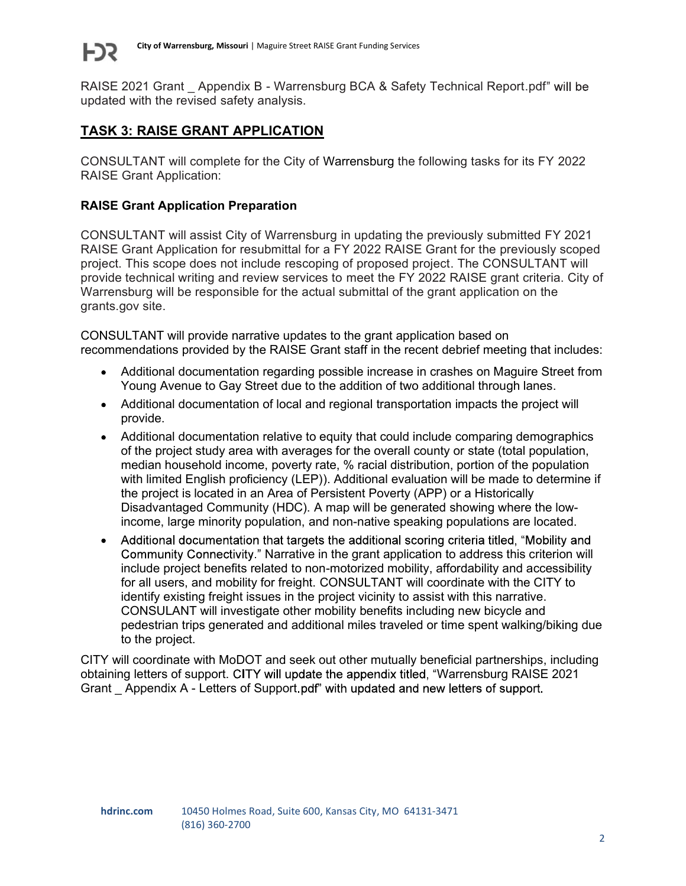

RAISE 2021 Grant Appendix B - Warrensburg BCA & Safety Technical Report.pdf" will be updated with the revised safety analysis.

# TASK 3: RAISE GRANT APPLICATION

CONSULTANT will complete for the City of Warrensburg the following tasks for its FY 2022 RAISE Grant Application:

# RAISE Grant Application Preparation

CONSULTANT will assist City of Warrensburg in updating the previously submitted FY 2021 RAISE Grant Application for resubmittal for a FY 2022 RAISE Grant for the previously scoped project. This scope does not include rescoping of proposed project. The CONSULTANT will provide technical writing and review services to meet the FY 2022 RAISE grant criteria. City of Warrensburg will be responsible for the actual submittal of the grant application on the grants.gov site.

CONSULTANT will provide narrative updates to the grant application based on recommendations provided by the RAISE Grant staff in the recent debrief meeting that includes:

- Additional documentation regarding possible increase in crashes on Maguire Street from Young Avenue to Gay Street due to the addition of two additional through lanes.
- Additional documentation of local and regional transportation impacts the project will provide.
- Additional documentation relative to equity that could include comparing demographics of the project study area with averages for the overall county or state (total population, median household income, poverty rate, % racial distribution, portion of the population with limited English proficiency (LEP)). Additional evaluation will be made to determine if the project is located in an Area of Persistent Poverty (APP) or a Historically Disadvantaged Community (HDC). A map will be generated showing where the lowincome, large minority population, and non-native speaking populations are located.
- Additional documentation that targets the additional scoring criteria titled, "Mobility and Community Connectivity." Narrative in the grant application to address this criterion will include project benefits related to non-motorized mobility, affordability and accessibility for all users, and mobility for freight. CONSULTANT will coordinate with the CITY to identify existing freight issues in the project vicinity to assist with this narrative. CONSULANT will investigate other mobility benefits including new bicycle and pedestrian trips generated and additional miles traveled or time spent walking/biking due to the project.

CITY will coordinate with MoDOT and seek out other mutually beneficial partnerships, including obtaining letters of support. CITY will update the appendix titled, "Warrensburg RAISE 2021 Grant Appendix A - Letters of Support pdf" with updated and new letters of support.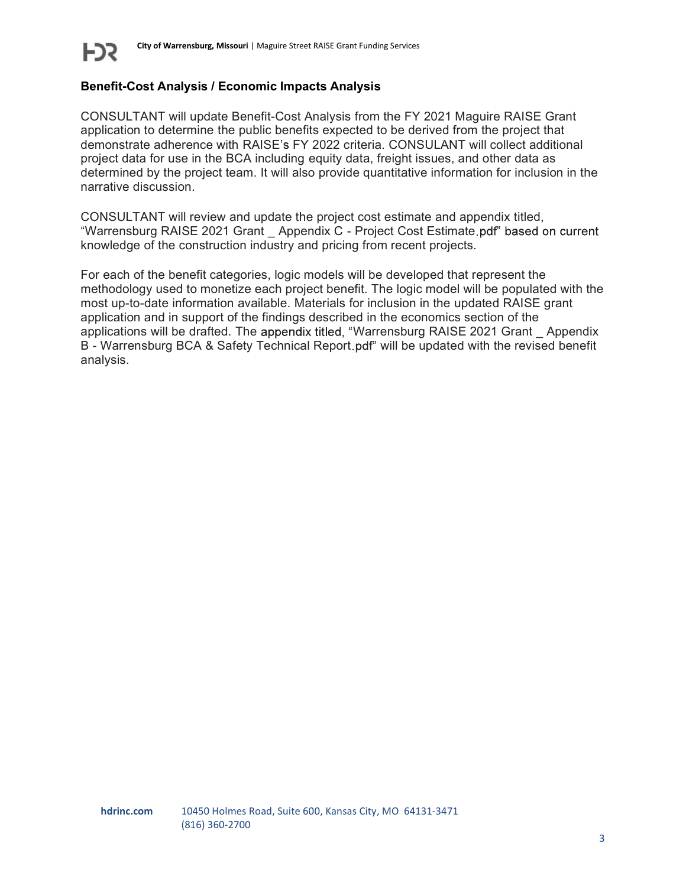

# Benefit-Cost Analysis / Economic Impacts Analysis

CONSULTANT will update Benefit-Cost Analysis from the FY 2021 Maguire RAISE Grant application to determine the public benefits expected to be derived from the project that demonstrate adherence with RAISE's FY 2022 criteria. CONSULANT will collect additional project data for use in the BCA including equity data, freight issues, and other data as determined by the project team. It will also provide quantitative information for inclusion in the narrative discussion.

CONSULTANT will review and update the project cost estimate and appendix titled, "Warrensburg RAISE 2021 Grant Appendix C - Project Cost Estimate pdf" based on current knowledge of the construction industry and pricing from recent projects.

For each of the benefit categories, logic models will be developed that represent the methodology used to monetize each project benefit. The logic model will be populated with the most up-to-date information available. Materials for inclusion in the updated RAISE grant application and in support of the findings described in the economics section of the applications will be drafted. The appendix titled, "Warrensburg RAISE 2021 Grant \_ Appendix B - Warrensburg BCA & Safety Technical Report pdf" will be updated with the revised benefit analysis.